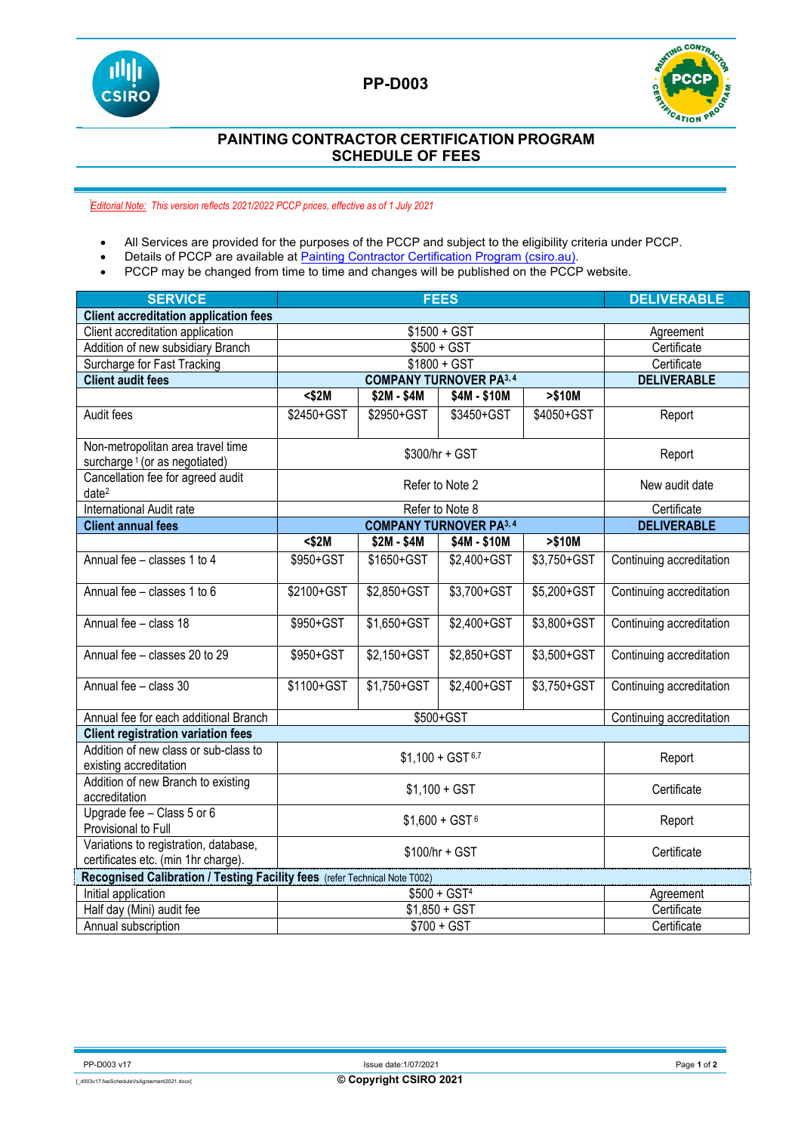

## **PP-D003**



## **PAINTING CONTRACTOR CERTIFICATION PROGRAM SCHEDULE OF FEES**

*Editorial Note: This version reflects 2021/2022 PCCP prices, effective as of 1 July 2021*

- All Services are provided for the purposes of the PCCP and subject to the eligibility criteria under PCCP.<br>• Details of PCCP are available at Painting Contractor Certification Program (csiro.au).
- Details of PCCP are available at **Painting Contractor Certification Program (csiro.au).**<br>• PCCP may be changed from time to time and changes will be published on the PCCF
- PCCP may be changed from time to time and changes will be published on the PCCP website.

| <b>SERVICE</b>                                                                 | <b>FEES</b>                    |             |              |             | <b>DELIVERABLE</b>       |
|--------------------------------------------------------------------------------|--------------------------------|-------------|--------------|-------------|--------------------------|
| <b>Client accreditation application fees</b>                                   |                                |             |              |             |                          |
| Client accreditation application                                               | $$1500 + GST$                  |             |              |             | Agreement                |
| Addition of new subsidiary Branch                                              | $$500 + GST$                   |             |              |             | Certificate              |
| Surcharge for Fast Tracking                                                    | $$1800 + GST$                  |             |              |             | Certificate              |
| <b>Client audit fees</b>                                                       | <b>COMPANY TURNOVER PA3, 4</b> |             |              |             | <b>DELIVERABLE</b>       |
|                                                                                | $<$ \$2M                       | \$2M - \$4M | \$4M - \$10M | > \$10M     |                          |
| Audit fees                                                                     | \$2450+GST                     | \$2950+GST  | \$3450+GST   | \$4050+GST  | Report                   |
| Non-metropolitan area travel time<br>surcharge <sup>1</sup> (or as negotiated) | \$300/hr + GST                 |             |              |             | Report                   |
| Cancellation fee for agreed audit<br>date <sup>2</sup>                         | Refer to Note 2                |             |              |             | New audit date           |
| International Audit rate                                                       | Refer to Note 8                |             |              |             | Certificate              |
| <b>Client annual fees</b>                                                      | <b>COMPANY TURNOVER PA3, 4</b> |             |              |             | <b>DELIVERABLE</b>       |
|                                                                                | $<$ \$2M                       | \$2M - \$4M | \$4M - \$10M | > \$10M     |                          |
| Annual fee - classes 1 to 4                                                    | \$950+GST                      | \$1650+GST  | \$2,400+GST  | \$3,750+GST | Continuing accreditation |
| Annual fee - classes 1 to 6                                                    | \$2100+GST                     | \$2,850+GST | \$3,700+GST  | \$5,200+GST | Continuing accreditation |
| Annual fee - class 18                                                          | \$950+GST                      | \$1,650+GST | \$2,400+GST  | \$3,800+GST | Continuing accreditation |
| Annual fee - classes 20 to 29                                                  | \$950+GST                      | \$2,150+GST | \$2,850+GST  | \$3,500+GST | Continuing accreditation |
| Annual fee - class 30                                                          | \$1100+GST                     | \$1,750+GST | \$2,400+GST  | \$3,750+GST | Continuing accreditation |
| Annual fee for each additional Branch                                          | \$500+GST                      |             |              |             | Continuing accreditation |
| <b>Client registration variation fees</b>                                      |                                |             |              |             |                          |
| Addition of new class or sub-class to<br>existing accreditation                | $$1,100 + GST$ 6,7             |             |              |             | Report                   |
| Addition of new Branch to existing<br>accreditation                            | $$1,100 + GST$                 |             |              |             | Certificate              |
| Upgrade fee - Class 5 or 6<br>Provisional to Full                              | $$1,600 + GST$ <sup>6</sup>    |             |              |             | Report                   |
| Variations to registration, database,<br>certificates etc. (min 1hr charge).   | $$100/hr + GST$                |             |              |             | Certificate              |
| Recognised Calibration / Testing Facility fees (refer Technical Note T002)     |                                |             |              |             |                          |
| Initial application                                                            | $$500 + GST4$                  |             |              |             | Agreement                |
| Half day (Mini) audit fee                                                      | $$1,850 + GST$                 |             |              |             | Certificate              |
| Annual subscription                                                            | $$700 + GST$                   |             |              |             | Certificate              |